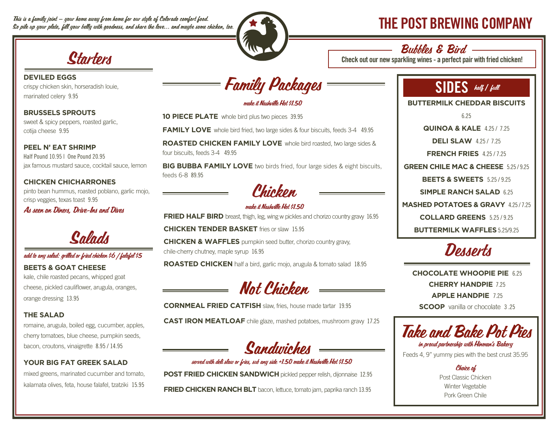This is a family joint — your home away from home for our style of Colorado comfort food. This is a family joint — your home away from home for our style of Colorado comfort food.<br>So pile up your plate, fill your belly with goodness, and share the love... and maybe some chicken, too.  $\blacktriangledown$   $\blacktriangleright$ 



#### Bubbles & Bird

Check out our new sparkling wines - a perfect pair with fried chicken!

# **Ctartors**

**DEVILED EGGS** crispy chicken skin, horseradish louie, marinated celery 9.95

**BRUSSELS SPROUTS** sweet & spicy peppers, roasted garlic, cotija cheese 9.95

**PEEL N' EAT SHRIMP** Half Pound 10.95 | One Pound 20.95 jax famous mustard sauce, cocktail sauce, lemon

**CHICKEN CHICHARRONES** pinto bean hummus, roasted poblano, garlic mojo, crisp veggies, texas toast 9.95

As seen on Diners, Drive-Ins and Dives



#### add to any salad: grilled or fried chicken \$6 | falafel \$5

**BEETS & GOAT CHEESE** kale, chile roasted pecans, whipped goat cheese, pickled cauliflower, arugula, oranges,

orange dressing 13.95

#### **THE SALAD**

romaine, arugula, boiled egg, cucumber, apples, cherry tomatoes, blue cheese, pumpkin seeds, bacon, croutons, vinaigrette 8.95 / 14.95

#### **YOUR BIG FAT GREEK SALAD**

mixed greens, marinated cucumber and tomato, kalamata olives, feta, house falafel, tzatziki 15.95



make it Nashville Hot \$1.50

**10 PIECE PLATE** whole bird plus two pieces 39.95

**FAMILY LOVE** whole bird fried, two large sides & four biscuits, feeds 3-4 49.95

**ROASTED CHICKEN FAMILY LOVE** whole bird roasted, two large sides & four biscuits, feeds 3-4 49.95

**BIG BUBBA FAMILY LOVE** two birds fried, four large sides & eight biscuits, feeds 6-8 89.95

<sup>r</sup>hiobon

#### make it Nashville Hot \$1.50

**FRIED HALF BIRD** breast, thigh, leg, wing w pickles and chorizo country gravy 16.95

**CHICKEN TENDER BASKET** fries or slaw 15.95

**CHICKEN & WAFFLES** pumpkin seed butter, chorizo country gravy, chile-cherry chutney, maple syrup 16.95

**ROASTED CHICKEN** half a bird, garlic mojo, arugula & tomato salad 18.95

Not Chicken

**CORNMEAL FRIED CATFISH** slaw, fries, house made tartar 19.95

**CAST IRON MEATLOAF** chile glaze, mashed potatoes, mushroom gravy 17.25

Sandwiches

served with deli slaw or fries, sub any side +1.50 make it Nashville Hot \$1.50

**POST FRIED CHICKEN SANDWICH** pickled pepper relish, dijonnaise 12.95

**FRIED CHICKEN RANCH BLT** bacon, lettuce, tomato jam, paprika ranch 13.95

# SIDES half **/** full

**BUTTERMILK CHEDDAR BISCUITS** 

6.25

**QUINOA & KALE** 4.25 / 7.25

**DELI SLAW** 4.25 / 7.25

**FRENCH FRIES** 4.25 / 7.25

**GREEN CHILE MAC & CHEESE** 5.25 / 9.25

**BEETS & SWEETS** 5.25 / 9.25

**SIMPLE RANCH SALAD** 6.25

**MASHED POTATOES & GRAVY** 4.25 / 7.25

**COLLARD GREENS** 5.25 / 9.25

**BUTTERMILK WAFFLES** 5.25/9.25



**CHOCOLATE WHOOPIE PIE** 6.25 **CHERRY HANDPIE** 7.25 **APPLE HANDPIE** 7.25 **SCOOP** vanilla or chocolate 3 .25

Take and Bake Pot Pies in proud partnership with Hinman's Bakery

Feeds 4, 9" yummy pies with the best crust 35.95

Choice of Post Classic Chicken Winter Vegetable Pork Green Chile